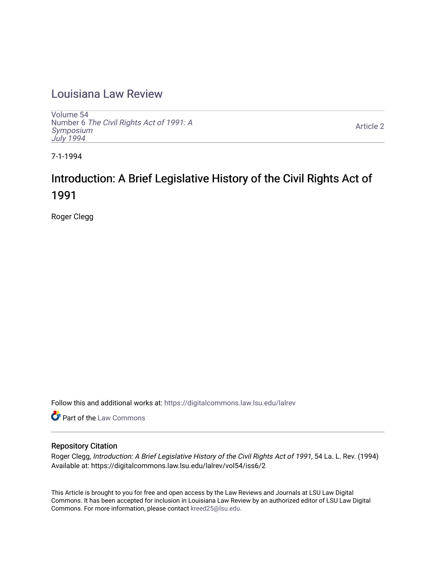## [Louisiana Law Review](https://digitalcommons.law.lsu.edu/lalrev)

[Volume 54](https://digitalcommons.law.lsu.edu/lalrev/vol54) Number 6 [The Civil Rights Act of 1991: A](https://digitalcommons.law.lsu.edu/lalrev/vol54/iss6) [Symposium](https://digitalcommons.law.lsu.edu/lalrev/vol54/iss6)  [July 1994](https://digitalcommons.law.lsu.edu/lalrev/vol54/iss6)

[Article 2](https://digitalcommons.law.lsu.edu/lalrev/vol54/iss6/2) 

7-1-1994

# Introduction: A Brief Legislative History of the Civil Rights Act of 1991

Roger Clegg

Follow this and additional works at: [https://digitalcommons.law.lsu.edu/lalrev](https://digitalcommons.law.lsu.edu/lalrev?utm_source=digitalcommons.law.lsu.edu%2Flalrev%2Fvol54%2Fiss6%2F2&utm_medium=PDF&utm_campaign=PDFCoverPages)

Part of the [Law Commons](https://network.bepress.com/hgg/discipline/578?utm_source=digitalcommons.law.lsu.edu%2Flalrev%2Fvol54%2Fiss6%2F2&utm_medium=PDF&utm_campaign=PDFCoverPages)

### Repository Citation

Roger Clegg, Introduction: A Brief Legislative History of the Civil Rights Act of 1991, 54 La. L. Rev. (1994) Available at: https://digitalcommons.law.lsu.edu/lalrev/vol54/iss6/2

This Article is brought to you for free and open access by the Law Reviews and Journals at LSU Law Digital Commons. It has been accepted for inclusion in Louisiana Law Review by an authorized editor of LSU Law Digital Commons. For more information, please contact [kreed25@lsu.edu](mailto:kreed25@lsu.edu).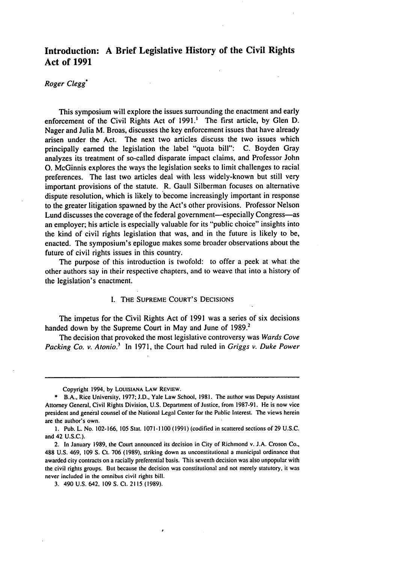## **Introduction: A Brief Legislative History of the Civil Rights Act of 1991**

#### *Roger Clegg\**

This symposium will explore the issues surrounding the enactment and early enforcement of the Civil Rights Act of **1991.'** The first article, **by** Glen **D.**  Nager and Julia M. Broas, discusses the key enforcement issues that have already arisen under the Act. The next two articles discuss the two issues which principally earned the legislation the label "quota bill": **C.** Boyden Gray analyzes its treatment of so-called disparate impact claims, and Professor John **0.** McGinnis explores the ways the legislation seeks to limit challenges to racial preferences. The last two articles deal with less widely-known but still very important provisions of the statute. R. Gaull Silberman focuses on alternative dispute resolution, which is likely to become increasingly important in response to the greater litigation spawned **by** the Act's other provisions. Professor Nelson Lund discusses the coverage of the federal government—especially Congress—as an employer; his article is especially valuable for its "public choice" insights into the kind of civil rights legislation that was, and in the future is likely to be, enacted. The symposium's epilogue makes some broader observations about the future of civil rights issues in this country.

The purpose of this introduction is twofold: to offer a peek at what the other authors say in their respective chapters, and to weave that into a history of the legislation's enactment.

#### **1.** THE SUPREME COURT'S DECISIONS

The impetus for the Civil Rights Act of 1991 was a series of six decisions handed down by the Supreme Court in May and June of 1989.<sup>2</sup>

The decision that provoked the most legislative controversy was Wards *Cove Packing Co. v. Atonio.*<sup>3</sup> In 1971, the Court had ruled in *Griggs v. Duke Power* 

Copyright 1994, **by** LOUISIANA **LAW** REVIEW.

**<sup>\*</sup>** B.A., Rice University, 1977; **J.D.,** Yale Law School, **1981.** The author was Deputy Assistant Attorney General, Civil Rights Division, U.S. Department of Justice, from 1987-91. He is now vice president and general counsel of the National Legal Center for the Public Interest. **The** views herein are the author's own.

**<sup>1.</sup>** Pub. L. No. 102-166, **105** Stat. 1071-1100 **(1991)** (codified in scattered sections of **29** U.S.C. and 42 U.S.C.).

<sup>2.</sup> In January **1989,** the Court announced its decision in City of Richmond v. J.A. Croson Co., **488** U.S. 469, **109** S. Ct. **706 (1989),** striking down as unconstitutional a municipal ordinance that awarded city contracts on aracially preferential basis. This seventh decision was also unpopular with the civil rights groups. But because the decision was constitutional and not merely statutory, it was never included in the omnibus civil rights bill.

<sup>3. 490</sup> U.S. 642, **109 S.** Ct. **2115 (1989).**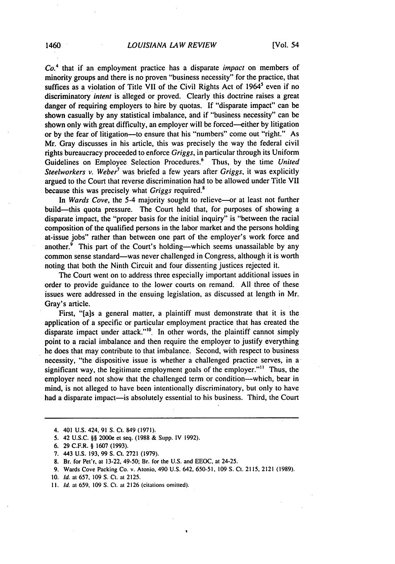#### 1460 *LOUISIANA LAW REVIEW* [Vol. 54

*Co.4* that if an employment practice has a disparate *impact* on members of minority groups and there is no proven "business necessity" for the practice, that suffices as a violation of Title VII of the Civil Rights Act of 1964<sup>5</sup> even if no discriminatory *intent* is alleged or proved. Clearly this doctrine raises a great danger of requiring employers to hire by quotas. If "disparate impact" can be shown casually by any statistical imbalance, and if "business necessity" can be shown only with great difficulty, an employer will be forced—either by litigation or by the fear of litigation-to ensure that his "numbers" come out "right." As Mr. Gray discusses in his article, this was precisely the way the federal civil rights bureaucracy proceeded to enforce *Griggs,* in particular through its Uniform Guidelines on Employee Selection Procedures.<sup>6</sup> Thus, by the time *United Steelworkers v. Weber*<sup>7</sup> was briefed a few years after *Griggs*, it was explicitly argued to the Court that reverse discrimination had to be allowed under Title VII because this was precisely what *Griggs* required.'

In *Wards Cove*, the 5-4 majority sought to relieve-or at least not further build-this quota pressure. The Court held that, for purposes of showing a disparate impact, the "proper basis for the initial inquiry" is "between the racial composition of the qualified persons in the labor market and the persons holding at-issue jobs" rather than between one part of the employer's work force and another. $\overline{9}$  This part of the Court's holding—which seems unassailable by any common sense standard—was never challenged in Congress, although it is worth noting that both the Ninth Circuit and four dissenting justices rejected it.

The Court went on to address three especially important additional issues in order to provide guidance to the lower courts on remand. All three of these issues were addressed in the ensuing legislation, as discussed at length in Mr. Gray's article.

First, "[a]s a general matter, a plaintiff must demonstrate that it is the application of a specific or particular employment practice that has created the disparate impact under attack." $^{10}$ . In other words, the plaintiff cannot simply point to a racial imbalance and then require the employer to justify everything he does that may contribute to that imbalance. Second, with respect to business necessity, "the dispositive issue is whether a challenged practice serves, in a significant way, the legitimate employment goals of the employer."<sup>11</sup> Thus, the employer need not show that the challenged term or condition--which, bear in mind, is not alleged to have been intentionally discriminatory, but only to have had a disparate impact-is absolutely essential to his business. Third, the Court

6. 29 C.F.R. § 1607 (1993).

- **8.** Br. for Pet'r, at 13-22, 49-50; Br. for the U.S. and EEOC, at 24-25.
- 9. Wards Cove Packing Co. v. Atonio, 490 U.S. 642, 650-51. 109 S. Ct. 2115, 2121 (1989).
- 10. *Id.* at 657, 109 **S.** Ct. at 2125.
- **11. Id.** at 659, 109 **S. Ct.** at 2126 (citations omitted).

<sup>4. 401</sup> U.S. 424, 91 S. Ct. 849 (1971).

<sup>5. 42</sup> U.S.C. §§ 2000e et seq. (1988 & Supp. IV 1992).

<sup>7. 443</sup> U.S. 193, 99 **S. Ct.** 2721 (1979).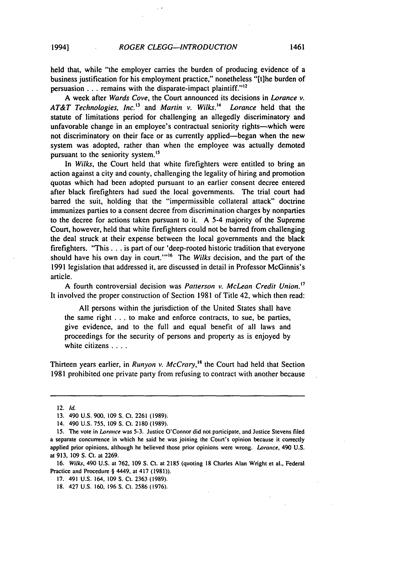held that, while "the employer carries the burden of producing evidence of a business justification for his employment practice," nonetheless "[t]he burden of persuasion . . . remains with the disparate-impact plaintiff."<sup>12</sup>

A week after *Wards Cove,* the Court announced its decisions in Lorance *v.*  AT&T Technologies, *Inc.'3* and *Martin v. Wilks.' Lorance* held that the statute of limitations period for challenging an allegedly discriminatory and unfavorable change in an employee's contractual seniority rights-which were not discriminatory on their face or as currently applied-began when the new system was adopted, rather than when the employee was actually demoted pursuant to the seniority system.<sup>15</sup>

In *Wilks,* the Court held that white firefighters were entitled to bring an action against a city and county, challenging the legality of hiring and promotion quotas which had been adopted pursuant to an earlier consent decree entered after black firefighters had sued the local governments. The trial court had barred the suit, holding that the "impermissible collateral attack" doctrine immunizes parties to a consent decree from discrimination charges by nonparties to the decree for actions taken pursuant to it. A 5-4 majority of the Supreme Court, however, held that white firefighters could not be barred from challenging the deal struck at their expense between the local governments and the black firefighters. "This **...** is part of our 'deep-rooted historic tradition that everyone should have his own day in court.""16 The *Wilks* decision, and the part of the 1991 legislation that addressed it, are discussed in detail in Professor McGinnis's article.

A fourth controversial decision was *Patterson v. McLean* Credit *Union.<sup>7</sup>* It involved the proper construction of Section 1981 of Title 42, which then read:

All persons within the jurisdiction of the United States shall have the same right **...** to make and enforce contracts, to sue, be parties, give evidence, and to the full and equal benefit of all laws and proceedings for the security of persons and property as is enjoyed by white citizens **....** 

Thirteen years earlier, in *Runyon v. McCrary*,<sup>18</sup> the Court had held that Section 1981 prohibited one private party from refusing to contract with another because

16. Wilks, 490 U.S. at 762, 109 **S.** Ct. at 2185 (quoting **18** Charles Alan Wright et al., Federal Practice and Procedure § 4449. at 417 (1981)).

<sup>12.</sup> **Id.** 

<sup>13. 490</sup> U.S. 900, 109 S. Ct. 2261 (1989).

<sup>14. 490</sup> U.S. 755, 109 S. **Ct.** 2180 (1989).

**<sup>15.</sup>** The vote in Lorance was 5-3. Justice O'Connor did not participate, and Justice Stevens tiled a separate concurrence in which he said he was joining the Court's opinion because it correctly applied prior opinions, although he believed those prior opinions were wrong. Lorance, 490 U.S. at 913, 109 **S.** Ct. at 2269.

<sup>17. 491</sup> U.S. 164, 109 **S.** Ct. 2363 (1989).

<sup>18. 427</sup> U.S. 160, 196 **S.** Ct. 2586 (1976).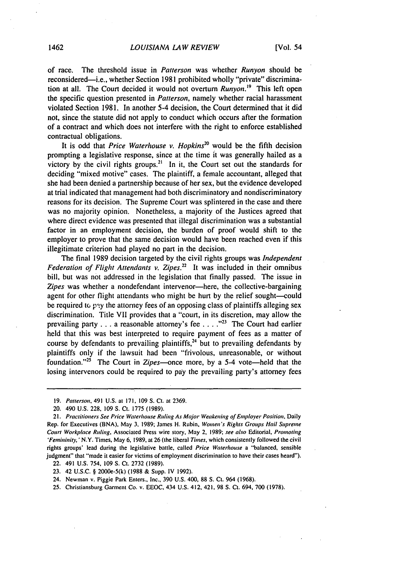of race. The threshold issue in *Patterson* was whether *Runyon* should be reconsidered-i.e., whether Section 1981 prohibited wholly "private" discrimination at all. The Court decided it would not overturn *Runyon. 9* This left open the specific question presented in *Patterson,*namely whether racial harassment violated Section 1981. In another 5-4 decision, the Court determined that it did not, since the statute did not apply to conduct which occurs after the formation of a contract and which does not interfere with the right to enforce established contractual obligations.

It is odd that *Price Waterhouse v. Hopkins*<sup>20</sup> would be the fifth decision prompting a legislative response, since at the time it was generally hailed as a victory by the civil rights groups.<sup>21</sup> In it, the Court set out the standards for deciding "mixed motive" cases. The plaintiff, a female accountant, alleged that she had been denied a partnership because of her sex, but the evidence developed at trial indicated that management had both discriminatory and nondiscriminatory reasons for its decision. The Supreme Court was splintered in the case and there was no majority opinion. Nonetheless, a majority of the Justices agreed that where direct evidence was presented that illegal discrimination was a substantial factor in an employment decision, the burden of proof would shift to the employer to prove that the same decision would have been reached even if this illegitimate criterion had played no part in the decision.

The final 1989 decision targeted by the civil rights groups was *Independent Federation of* Flight *Attendants v. [Zipes.22](https://Zipes.22)* It was included in their omnibus bill, but was not addressed in the legislation that finally passed. The issue in Zipes was whether a nondefendant intervenor-here, the collective-bargaining agent for other flight attendants who might be hurt by the relief sought-could be required to pay the attorney fees of an opposing class of plaintiffs alleging sex discrimination. Title VII provides that a "court, in its discretion, may allow the prevailing party **...** a reasonable attorney's fee **... .""** The Court had earlier held that this was best interpreted to require payment of fees as a matter of course by defendants to prevailing plaintiffs,<sup>24</sup> but to prevailing defendants by plaintiffs only if the lawsuit had been "frivolous, unreasonable, or without foundation."<sup>25</sup> The Court in *Zipes*—once more, by a 5-4 vote—held that the losing intervenors could be required to pay the prevailing party's attorney fees

- 24. Newman v. Piggie Park Enters., Inc., 390 U.S. 400, 88 **S.**Ct. 964 (1968).
- 25. Christiansburg Garment Co. v. EEOC, 434 U.S. 412, 421, 98 S. Ct. 694, 700 (1978).

<sup>19.</sup> Patterson, 491 U.S. at 171, 109 **S.**Ct. at 2369.

<sup>20.</sup> 490 U.S. 228, 109 S. Ct. 1775 (1989).

<sup>21.</sup> Practitioners See Price Waterhouse Ruling As Major Weakening of Employer Position, Daily Rep. for Executives (BNA), May 3, 1989; James H. Rubin, Women's Rights Groups Hail Supreme *Court* Workplace Ruling, Associated Press wire story, May 2, 1989; see also Editorial, Promoting *'Fenininiry,'N.Y.*Times, May **6,** 1989, at 26 (the liberal Times, which consistently followed the civil rights groups' lead during the legislative battle, called Price Waterhouse a "'balanced, sensible judgment" that "made it easier for victims of employment discrimination to have their cases heard"). 22. 491 U.S. 754, 109 **S.**Ct. 2732 (1989).

<sup>23. 42</sup> U.S.C. § 2000e-5(k) (1988 & Supp. IV 1992).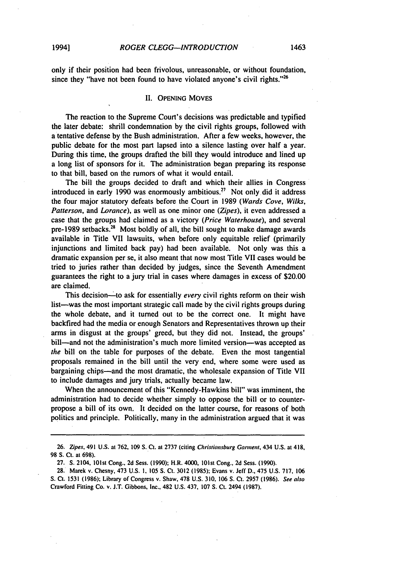only if their position had been frivolous, unreasonable, or without foundation, since they "have not been found to have violated anyone's civil rights."<sup>26</sup>

#### II. OPENING MOVES

The reaction to the Supreme Court's decisions was predictable and typified the later debate: shrill condemnation by the civil rights groups, followed with a tentative defense by the Bush administration. After a few weeks, however, the public debate for the most part lapsed into a silence lasting over half a year. During this time, the groups drafted the bill they would introduce and lined up a long list of sponsors for it. The administration began preparing its response to that bill, based on the rumors of what it would entail.

The bill the groups decided to draft and which their allies in Congress introduced in early 1990 was enormously ambitious.<sup>27</sup> Not only did it address the four major statutory defeats before the Court in 1989 (Wards Cove, Wilks, Patterson, and Lorance), as well as one minor one (Zipes), it even addressed a case that the groups had claimed as a victory (Price Waterhouse), and several pre-1989 setbacks.<sup>28</sup> Most boldly of all, the bill sought to make damage awards available in Title VII lawsuits, when before only equitable relief (primarily injunctions and limited back pay) had been available. Not only was this a dramatic expansion per se, it also meant that now most Title VII cases would be tried to juries rather than decided by judges, since the Seventh Amendment guarantees the right to a jury trial in cases where damages in excess of \$20.00 are claimed.

This decision—to ask for essentially *every* civil rights reform on their wish list-was the most important strategic call made by the civil rights groups during the whole debate, and it turned out to be the correct one. It might have backfired had the media or enough Senators and Representatives thrown up their arms in disgust at the groups' greed, but they did not. Instead, the groups' bill—and not the administration's much more limited version—was accepted as the bill on the table for purposes of the debate. Even the most tangential proposals remained in the bill until the very end, where some were used as bargaining chips-and the most dramatic, the wholesale expansion of Title VII to include damages and jury trials, actually became law.

When the announcement of this "Kennedy-Hawkins bill" was imminent, the administration had to decide whether simply to oppose the bill or to counterpropose a bill of its own. It decided on the latter course, for reasons of both politics and principle. Politically, many in the administration argued that it was

**<sup>26.</sup>** Zipes, 491 **U.S.** at 762, **109 S. CI.** at 2737 (citing Chrisfiansburg Garment, 434 **U.S.** at 418, **98 S.** Ct. at **698).** 

**<sup>27.</sup>** S. 2104, 101st Cong., **2d** Sess. **(1990);** H.R. 4000, 101st Cong., **2d** Sess. **(1990).** 

**<sup>28.</sup>** Marek v. Chesny, 473 U.S. **I. 105 S.** Ct. **3012 (1985);** Evans v. Jeff **D.,** 475 U.S. **717, 106 S.**Ct. **1531 (1986);** Library of Congress v. Shaw, **478** U.S. **310, 106** S. Ct. **2957 (1986).** See also Crawford Fitting Co. v. **J.T.** Gibbons, Inc., 482 **U.S.** 437, **107 S.**Ct. 2494 **(1987).**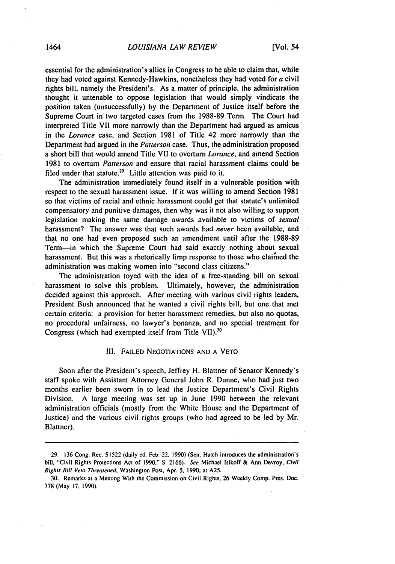essential for the administration's allies in Congress to be able to claim that, while they had voted against Kennedy-Hawkins, nonetheless they had voted for a civil rights bill, namely the President's. As a matter of principle, the administration thought it untenable to oppose legislation that would simply vindicate the position taken (unsuccessfully) by the Department of Justice itself before the Supreme Court in two targeted cases from the 1988-89 Term. The Court had interpreted Title VII more narrowly than the Department had argued as amicus in the Lorance case, and Section 1981 of Title 42 more narrowly than the Department had argued in the *Patterson*case. Thus, the administration proposed a short bill that would amend Title VII to overturn *Lorance,* and amend Section 1981 to overturn *Patterson* and ensure that racial harassment claims could be filed under that statute.<sup>29</sup> Little attention was paid to it.

The administration immediately found itself in a vulnerable position with respect to the sexual harassment issue. If it was willing to amend Section 1981 so that victims of racial and ethnic harassment could get that statute's unlimited compensatory and punitive damages, then why was it not also willing to support legislation making the same damage awards available to victims of *sexual*  harassment? The answer was that such awards had *never* been available, and that no one had even proposed such an amendment until after the 1988-89 Term-in which the Supreme Court had said exactly nothing about sexual harassment. But this was a rhetorically limp response to those who clained the administration was making women into "second class citizens."

The administration toyed with the idea of a free-standing bill on sexual harassment to solve this problem. Ultimately, however, the administration decided against this approach. After meeting with various civil rights leaders, President Bush announced that he wanted a civil rights bill, but one that met certain criteria: a provision for better harassment remedies, but also no quotas, no procedural unfairness, no lawyer's bonanza, and no special treatment for Congress (which had exempted itself from Title VII).<sup>30</sup>

#### III. FAILED NEGOTIATIONS AND A VETO

Soon after the President's speech, Jeffrey H. Blattner of Senator Kennedy's staff spoke with Assistant Attorney General John R. Dunne, who had just two months earlier been sworn in to lead the Justice Department's Civil Rights Division. A large meeting was set up in June 1990 between the relevant administration officials (mostly from the White House and the Department of Justice) and the various civil rights groups (who had agreed to be led by Mr. Blattner).

<sup>29. 136</sup> Cong. Rec. **S1522** (daily ed. Feb. 22, 1990) (Sen. Hatch introduces the administration's bill, "Civil Rights Protections Act of 1990," **S.** 2166). See Michael Isikoff & Ann Devroy, Civil Rights Bill Veto *Threatened,* Washington Post. Apr. **5,** 1990, at A25.

<sup>30.</sup> Remarks at a Meeting With the Commission on Civil Rights, 26 Weekly Comp. Pres. **Doc.**  778 (May **17,** 1990).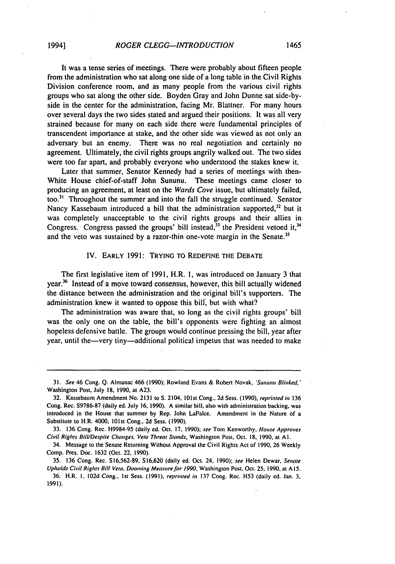It was a tense series of meetings. There were probably about fifteen people from the administration who sat along one side of a long table in the Civil Rights Division conference room, and as many people from the various civil rights groups who sat along the other side. Boyden Gray and John Dunne sat side-byside in the center for the administration, facing Mr. Blattner. For many hours over several days the two sides stated and argued their positions. It was all very strained because for many on each side there were fundamental principles of transcendent importance at stake, and the other side was viewed as not only an adversary but an enemy. There was no real negotiation and certainly no agreement. Ultimately, the civil rights groups angrily walked out. The two sides were too far apart, and probably everyone who understood the stakes knew it.

Later that summer, Senator Kennedy had a series of meetings with then-White House chief-of-staff John Sununu. These meetings came closer to producing an agreement, at least on the *Wards Cove* issue, but ultimately failed, too. <sup>3</sup> **'** Throughout the summer and into the fall the struggle continued. Senator Nancy Kassebaum introduced a bill that the administration supported, $32$  but it was completely unacceptable to the civil rights groups and their allies in Congress. Congress passed the groups' bill instead,  $33$  the President vetoed it,  $34$ and the veto was sustained by a razor-thin one-vote margin in the Senate.<sup>35</sup>

#### IV. EARLY 1991: TRYING TO REDEFINE THE DEBATE

The first legislative item of 1991, H.R. I, was introduced on January 3 that year.36 Instead of a move toward consensus, however, this bill actually widened the distance between the administration and the original bill's supporters. The administration knew it wanted to oppose this bill', but with what?

The administration was aware that, so long as the civil rights groups' bill was the only one on the table, the bill's opponents were fighting an almost hopeless defensive battle. The groups would continue pressing the bill, year after year, until the-very tiny-additional political impetus that was needed to make

**<sup>31.</sup>** See 46 Cong. Q. Almanac 466 **(1990);** Rowland Evans & Robert Novak, *'Sunun* Blinked,' Washington Post, July **18,** 1990, at A23.

<sup>32.</sup> Kassebaum Amendment No. 2131 to S. 2104, 101st Cong., 2d Sess. (1990), reprinted *in* 136 Cong. Rec. S9786-87 (daily **ed.** July **16,** 1990). **A** similar bill, also with administration backing, was introduced in the House that summer by Rep. John LaFalce. Amendment in the Nature of a Substitute to H.R. 4000. 101st Cong.. 2d Sess. (1990).

<sup>33. 136</sup> Cong. Rec. H9984-95 (daily **ed.** Oct. **17,** 1990); see Tom Kenworthy, House Approves Civil Rights Bill/Despite Changes, Veto Threat Stands, Washington Post, Oct. 18, 1990, at **Al.** 

<sup>34.</sup> Message to the Senate Returning Without Approval the Civil Rights Act of 1990. 26 Weekly Comp. Pres. Doc. 1632 (Oct. 22, 1990).

<sup>35. 136</sup> Cong. Rec. S16,562-89, S16,620 (daily ed. Oct. 24. 1990); see Helen Dewar, Senate Upholds Civil *Rights* Bill Veto. Dooming Measure for 1990. Washington Post, Oct. **25.** 1990, at **Ai5. 36.** H.R. I. 102d Cong., Ist Sess. **(1991).** reprinted in 137 Cong. Rec. H53 (daily ed. Jan. **3,**  1991).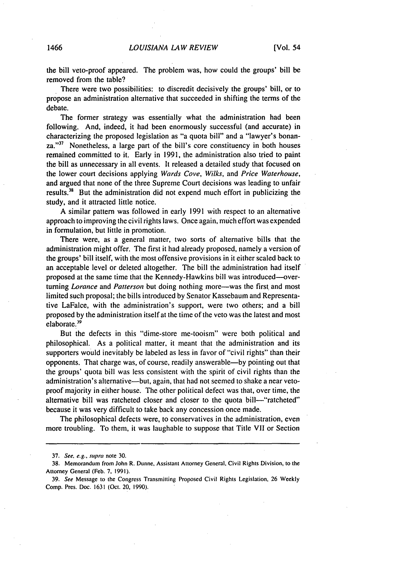the bill veto-proof appeared. The problem was, how could the groups' bill be removed from the table?

There were two possibilities: to discredit decisively the groups' bill, or to propose an administration alternative that succeeded in shifting the terms of the debate.

The former strategy was essentially what the administration had been following. And, indeed, it had been enormously successful (and accurate) in characterizing the proposed legislation as "a quota bill" and a "lawyer's bonanza."<sup>37</sup> Nonetheless, a large part of the bill's core constituency in both houses remained committed to it. Early in 1991, the administration also tried to paint the bill as unnecessary in all events. It released a detailed study that focused on the lower court decisions applying *Wards Cove, Wilks,* and *Price Waterhouse,*  and argued that none of the three Supreme Court decisions was leading to unfair results.<sup>38</sup> But the administration did not expend much effort in publicizing the study, and it attracted little notice.

A similar pattern was followed in early 1991 with respect to an alternative approach to improving the civil rights laws. Once again, much effort was expended in formulation, but little in promotion.

There were, as a general matter, two sorts of alternative bills that the administration might offer. The first it had already proposed, namely a version of the groups' bill itself, with the most offensive provisions in it either scaled back to an acceptable level or deleted altogether. The bill the administration had itself proposed at the same time that the Kennedy-Hawkins bill was introduced---turning *Lorance* and *Patterson* but doing nothing more-was the first and most limited such proposal; the bills introduced by Senator Kassebaum and Representative LaFalce, with the administration's support, were two others; and a bill proposed by the administration itself at the time of the veto was the latest and most elaborate.<sup>39</sup>

But the defects in this "dime-store me-tooism" were both political and philosophical. As a political matter, it meant that the administration and its supporters would inevitably be labeled as less in favor of "civil rights" than their opponents. That charge was, of course, readily answerable-by pointing out that the groups' quota bill was less consistent with the spirit of civil rights than the administration's alternative—but, again, that had not seemed to shake a near vetoproof majority in either house. The other political defect was that, over time, the alternative bill was ratcheted closer and closer to the quota bill-"ratcheted" because it was very difficult to take back any concession once made.

The philosophical defects were, to conservatives in the administration, even more troubling. To them, it was laughable to suppose that Title VII or Section

<sup>37.</sup> See. e.g., supra note 30.

**<sup>38.</sup>** Memorandum from John R. Dunne, Assistant Attorney General, Civil Rights Division, to the Attorney General (Feb. **7.** 1991).

<sup>39.</sup> See Message to the Congress Transmitting Proposed Civil Rights Legislation, 26 Weekly Comp. Pres. Doc. 1631 (Oct. 20, 1990).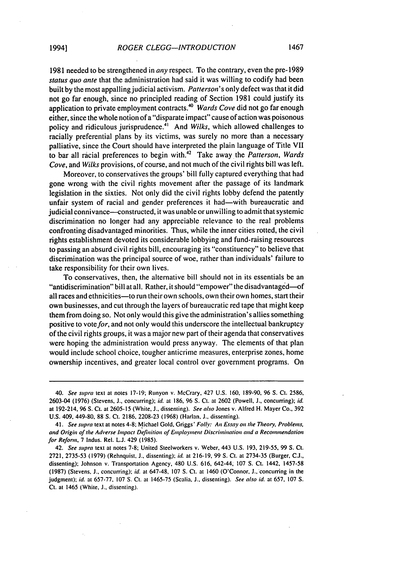1981 needed to be strengthened in any respect. To the contrary, even the pre-1989 status quo ante that the administration had said it was willing to codify had been built by the most appalling judicial activism. Patterson's only defect was that it did not go far enough, since no principled reading of Section 1981 could justify its application to private employment contracts.<sup>40</sup> *Wards Cove* did not go far enough either, since the whole notion of a "disparate impact" cause of action was poisonous policy and ridiculous jurisprudence.<sup>41</sup> And Wilks, which allowed challenges to racially preferential plans by its victims, was surely no more than a necessary palliative, since the Court should have interpreted the plain language of Title VII to bar all racial preferences to begin with.<sup>42</sup> Take away the *Patterson*, *Wards* Cove, and *Wilks* provisions, of course, and not much of the civil rights bill was left.

Moreover, to conservatives the groups' bill fully captured everything that had gone wrong with the civil rights movement after the passage of its landmark legislation in the sixties. Not only did the civil rights lobby defend the patently unfair system of racial and gender preferences it had—with bureaucratic and judicial connivance—constructed, it was unable or unwilling to admit that systemic discrimination no longer had any appreciable relevance to the real problems confronting disadvantaged minorities. Thus, while the inner cities rotted, the civil rights establishment devoted its considerable lobbying and fund-raising resources to passing an absurd civil rights bill, encouraging its "constituency" to believe that discrimination was the principal source of woe, rather than individuals' failure to take responsibility for their own lives.

To conservatives, then, the alternative bill should not in its essentials be an "antidiscrimination" bill at all. Rather, it should "empower" the disadvantaged-of all races and ethnicities-to run their own schools, own their own homes, start their own businesses, and cut through the layers of bureaucratic red tape that might keep them from doing so. Not only would this give the administration's allies something positive to vote for, and not only would this underscore the intellectual bankruptcy of the civil rights groups, it was a major new part of their agenda that conservatives were hoping the administration would press anyway. The elements of that plan would include school choice, tougher anticrime measures, enterprise zones, home ownership incentives, and greater local control over government programs. On

<sup>40.</sup> See supra text at notes 17-19; Runyon v. McCrary, 427 U.S. 160, 189-90, 96 **S.** Ct. 2586, 2603-04 (1976) (Stevens, J., concurring); id. at 186, 96 S. Ct. at 2602 (Powell, **J.,** concurring); id. at 192-214, 96 S. Ct. at 2605-15 (White, **J.,** dissenting). See also Jones v. Alfred H. Mayer Co., 392 U.S. 409, 449-80, 88 S. Ct. 2186. 2208-23 (1968) (Harlan. **J.,** dissenting).

<sup>41.</sup> See supra text at notes 4-8; Michael Gold, Griggs' *Foly:* An Essay on *the* Theory, Problems, and Origin of the Adverse Impact Definition of Employment Discrimination and a Recommendation for Reform, 7 Indus. Rel. **L.J.** 429 (1985).

<sup>42.</sup> See supra text at notes 7-8; United Steelworkers v. Weber, 443 U.S. 193, 219-55, 99 S. Ct. 2721, 2735-53 (1979) (Rehnquist. **J.,** dissenting); id. at 216-19, 99 **S.** Ct. at 2734-35 (Burger, C.J., dissenting); Johnson v. Transportation Agency, 480 U.S. 616, 642-44, 107 **S.** Ct. 1442, 1457-58 (1987) (Stevens, **J.,** concurring); id. at 647-48, 107 **S.** Ct. at 1460 (O'Connor. **J..** concurring in the judgment); id. at 657-77. 107 S. Ct. at 1465-75 (Scalia. **J.,** dissenting). See also id. at 657. 107 **S.**  Ct. at 1465 (White, J., dissenting).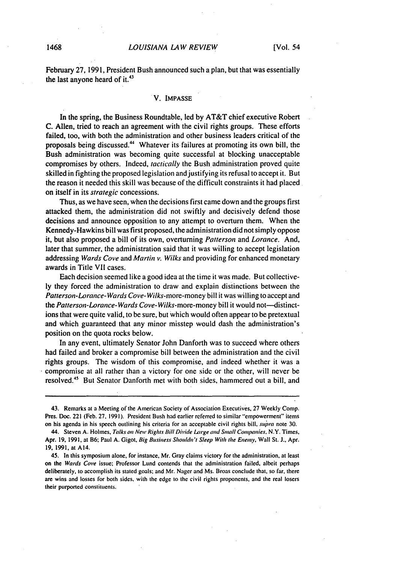#### 1468 *LOUISIANA LAW REVIEW* [Vol, 54

February 27, 1991, President Bush announced such a plan, but that was essentially the last anyone heard of it. $43$ 

#### V. **IMPASSE**

In the spring, the Business Roundtable, led by AT&T chief executive Robert C. Allen, tried to reach an agreement with the civil rights groups. These efforts failed, too, with both the administration and other business leaders critical of the proposals being discussed." Whatever its failures at promoting its own bill, the Bush administration was becoming quite successful at blocking unacceptable compromises by others. Indeed, *tactically* the Bush administration proved quite skilled in fighting the proposed legislation and justifying its refusal to accept it. But the reason it needed this skill was because of the difficult constraints it had placed on itself in its strategic concessions.

Thus, as we have seen, when the decisions first came down and the groups first attacked them, the administration did not swiftly and decisively defend those decisions and announce opposition to any attempt to overturn them. When the Kennedy-Hawkins bill was first proposed, the administration did not simply oppose it, but also proposed a bill of its own, overturning *Patterson*and *Lorance.* And, later that summer, the administration said that it was willing to accept legislation addressing *Wards Cove* and Martin v. Wilks and providing for enhanced monetary awards in Title VII cases.

Each decision seemed like a good idea at the time it was made. But collectively they forced the administration to draw and explain distinctions between the *Patterson-Lorance-WardsCove-Wilks-more-money* bill it was willing to accept and the *Patterson-Lorance-Wards Cove-* Wilks-more-money bill it would not--distinctions that were quite valid, to be sure, but Which would often appear to be pretextual and which guaranteed that any minor misstep would dash the administration's position on the quota rocks below.

In any event, ultimately Senator John Danforth was to succeed where others had failed and broker a compromise bill between the administration and the civil rights groups. The wisdom of this compromise, and indeed whether it was a compromise at all rather than a victory for one side or the other, will never be resolved." But Senator Danforth met with both sides, hammered out a bill, and

<sup>43.</sup> Remarks at a Meeting ofthe American Society of Association Executives, **27** Weekly Comp. Pres. Doe. 221 (Feb. **27,** 1991). President Bush had earlier referred to similar "empowerment" items on his agenda in his speech outlining his criteria for an acceptable civil rights bill, supra note 30.

<sup>44.</sup> Steven **A.** Holmes, Talks on New Rights *Bill* Divide **Large**and *Small* Companies, N.Y. Times, Apr. **19,** 1991, at B6; Paul A. Gigot, Big Business Shouldn't Sleep With the Enemy, Wall St. J., Apr. **19,** 1991, at A14.

<sup>45.</sup> In this symposium alone, for instance, Mr. Gray claims victory for the administration, at least on the Wards Cove issue; Professor Lund contends that the administration failed, albeit perhaps deliberately, to accomplish its stated goals; and Mr. Nager and Ms. Broas conclude that, so far, there are wins and losses for both sides, with the edge to the civil rights proponents, and the real losers their purported constituents.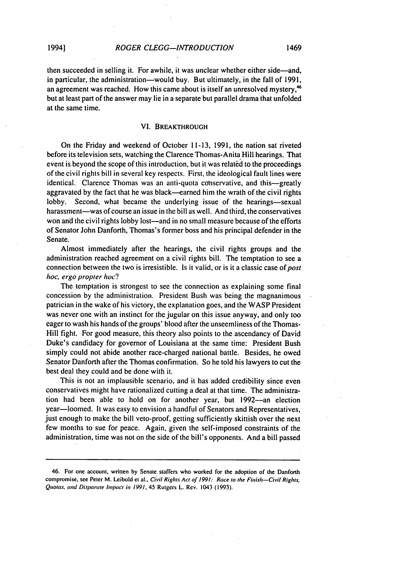#### VI. BREAKTHROUGH

On the Friday and weekend of October 11-13, 1991, the nation sat riveted before its television sets, watching the Clarence Thomas-Anita Hill hearings. That event is beyond the scope of this introduction, but it was related to the proceedings of the civil rights bill in several key respects. First, the ideological fault lines were identical. Clarence Thomas was an anti-quota conservative, and this—greatly aggravated by the fact that he was black—earned him the wrath of the civil rights lobby. Second, what became the underlying issue of the hearings—sexual harassment—was of course an issue in the bill as well. And third, the conservatives won and the civil rights lobby lost—and in no small measure because of the efforts of Senator John Danforth, Thomas's former boss and his principal defender in the Senate.

Almost immediately after the hearings, the civil rights groups and the administration reached agreement on a civil rights bill. The temptation to see a connection between the two is irresistible. Is it valid, or is it a classic case of post hoc, ergo propter hoc?

The temptation is strongest to see the connection as explaining some final concession by the administration. President Bush was being the magnanimous patrician in the wake of his victory, the explanation goes, and the WASP President was never one with an instinct for the jugular on this issue anyway, and only too eager to wash his hands of the groups' blood after the unseemliness of the Thomas-Hill fight. For good measure, this theory also points to the ascendancy of David Duke's candidacy for governor of Louisiana at the same time: President Bush simply could not abide another race-charged national battle. Besides, he owed Senator Danforth after the Thomas confirmation. So he told his lawyers to cut the best deal they could and be done with it.

This is not an implausible scenario, and it has added credibility since even conservatives might have rationalized cutting adeal at that time. The administration had been able to hold on for another year, but 1992-an election year-loomed. It was easy to envision a handful of Senators and Representatives, just enough to make the bill veto-proof, getting sufficiently skittish over the next few months to sue for peace. Again, given the self-imposed constraints of the administration, time was not on the side of the bill's opponents. And abill passed

<sup>46.</sup> For one account, written **by** Senate staffers who worked for the adoption of the Danforth compromise, see Peter M. Leibold et al., Civil Rights Act of 1991: Race to the Finish-Civil Rights, Quotas, and Disparate Inpact in *1991,* 45 Rutgers L. Rev. 1043 (1993).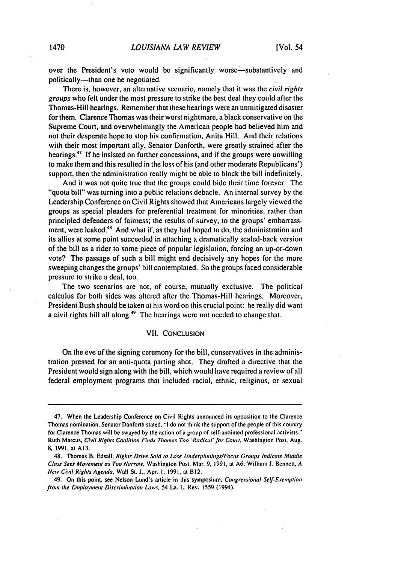over the President's veto would be significantly worse—substantively and politically—than one he negotiated.

There is, however, an alternative scenario, namely that it was the *civil* rights groups who felt under the most pressure to strike the best deal they could after the Thomas-Hill hearings. Remember that these hearings were an unmitigated disaster for them. Clarence Thomas was their worst nightmare, a black conservative on the Supreme Court, and overwhelmingly the American people had believed him and not their desperate hope to stop his confirmation, Anita Hill. And their relations with their most important ally, Senator Danforth, were greatly strained after the hearings.<sup>47</sup> If he insisted on further concessions, and if the groups were unwilling to make them and this resulted in the loss of his (and other moderate Republicans') support, then the administration really might be able to block the bill indefinitely.

And it was not quite true that the groups could bide their time forever. The "quota bill" was turning into a public relations debacle. An internal survey by the Leadership Conference on Civil Rights showed that Americans largely viewed the groups as special pleaders for preferential treatment for minorities, rather than principled defenders of fairness; the results of survey, to the groups' embarrassment, were leaked.<sup>48</sup> And what if, as they had hoped to do, the administration and its allies at some point succeeded in attaching a dramatically scaled-back version of the bill as a rider to some piece of popular legislation, forcing an up-or-down vote? The passage of such a bill might end decisively any hopes for the more sweeping changes the groups' bill contemplated. So the groups faced considerable pressure to strike a deal, too.

The two scenarios are not, of course, mutually exclusive. The political calculus for both sides was altered after the Thomas-Hill hearings. Moreover, President Bush should be taken at his word on this crucial point: he really did want a civil rights bill all along.<sup>49</sup> The hearings were not needed to change that.

#### VII. CONCLUSION

On the eve of the signing ceremony for the bill, conservatives in the administration pressed for an anti-quota parting shot. They drafted a directive that the President would sign along with the bill, which would have required a review of all federal employment programs that included racial, ethnic, religious, or sexual

<sup>47.</sup> When the Leadership Conference on Civil Rights announced its opposition to the Clarence Thomas nomination, Senator Danforth stated, **"I**do not think the support of the people of this country for Clarence Thomas will be swayed by the action of agroup of self-anointed professional activists." Ruth Marcus. Civil Rights *Coalition* Finds Thomas Too 'Radical'for Court. Washington Post, Aug. **8,** 1991, at A13.

<sup>48.</sup> Thomas B. Edsall, Rights Drive Said to Lose Underpinnings/Focus Groups Indicate Middle Class Sees Movement as Too Narrow, Washington Post, Mar. 9, 1991, at A6; William J. Bennett, A New Civil Rights Agenda. Wall St. **J.,** Apr. **I. 1991,** at B12.

<sup>49.</sup> On this point, see Nelson Lund's article in this symposium, Congressional Self-Exemption from the *Employment Discrimination Laws*, 54 La. L. Rev. 1559 (1994).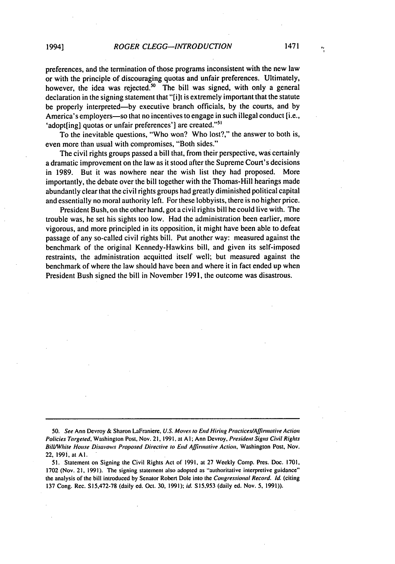preferences, and the termination of those programs inconsistent with the new law or with the principle of discouraging quotas and unfair preferences. Ultimately, however, the idea was rejected.<sup>50</sup> The bill was signed, with only a general declaration in the signing statement that "[i]t is extremely important that the statute be properly interpreted-by executive branch officials, by the courts, and by America's employers-so that no incentives to engage in such illegal conduct [i.e., 'adopt[ing] quotas or unfair preferences'] are created."<sup>51</sup>

To the inevitable questions, "Who won? Who lost?," the answer to both is, even more than usual with compromises, "Both sides."

The civil rights groups passed a bill that, from their perspective, was certainly a dramatic improvement on the law as it stood after the Supreme Court's decisions in 1989. But it was nowhere near the wish list they had proposed. More importantly, the debate over the bill together with the Thomas-Hill hearings made abundantly clear that the civil rights groups had greatly diminished political capital and essentially no moral authority left. For these lobbyists, there is no higher price.

President Bush, on the other hand, got a civil rights bill he could live with. The trouble was, he set his sights too low. Had the administration been earlier, more vigorous, and more principled in its opposition, it might have been able to defeat passage of any so-called civil rights bill. Put another way: measured against the benchmark of the original Kennedy-Hawkins bill, and given its self-imposed restraints, the administration acquitted itself well; but measured against the benchmark of where the law should have been and where it in fact ended up when President Bush signed the bill in November 1991, the outcome was disastrous.

**50.** See Ann Devroy & Sharon LaFraniere, U.S. Moves *to* End Hiring Practices/Affirmative Action Policies Targeted, Washington Post, Nov. 21, 1991, at A1; Ann Devroy, President Signs Civil Rights *Bill/White Hotose* Disavows Proposed Directive to End Affirmative Action. Washington Post, Nov. 22, 1991, at **Al.** 

51. Statement on Signing the Civil Rights Act of 1991. at 27 Weekly Comp. Pres. Doe. 1701, 1702 (Nov. 21, 1991). The signing statement also adopted as "'authoritative interpretive guidance" the analysis of the bill introduced by Senator Robert Dole into the Congressional Record. Id. (citing 137 Cong. Rec. S15,472-78 (daily ed. Oct. 30, 1991); id. **S15.953** (daily ed. Nov. 5, 1991)).

ų